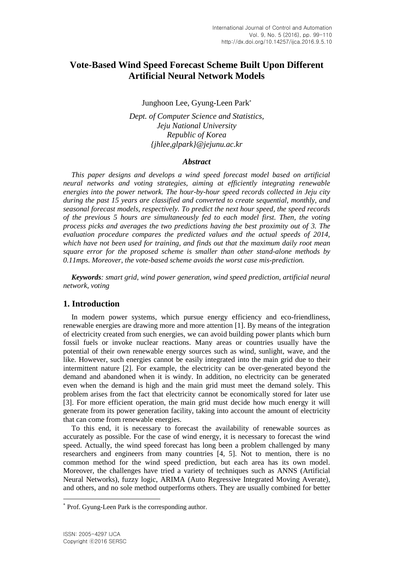# **Vote-Based Wind Speed Forecast Scheme Built Upon Different Artificial Neural Network Models**

Junghoon Lee, Gyung-Leen Park

*Dept. of Computer Science and Statistics, Jeju National University Republic of Korea {jhlee,glpark}@jejunu.ac.kr*

#### *Abstract*

*This paper designs and develops a wind speed forecast model based on artificial neural networks and voting strategies, aiming at efficiently integrating renewable energies into the power network. The hour-by-hour speed records collected in Jeju city during the past 15 years are classified and converted to create sequential, monthly, and seasonal forecast models, respectively. To predict the next hour speed, the speed records of the previous 5 hours are simultaneously fed to each model first. Then, the voting process picks and averages the two predictions having the best proximity out of 3. The evaluation procedure compares the predicted values and the actual speeds of 2014, which have not been used for training, and finds out that the maximum daily root mean square error for the proposed scheme is smaller than other stand-alone methods by 0.11mps. Moreover, the vote-based scheme avoids the worst case mis-prediction.*

*Keywords: smart grid, wind power generation, wind speed prediction, artificial neural network, voting*

### **1. Introduction**

In modern power systems, which pursue energy efficiency and eco-friendliness, renewable energies are drawing more and more attention [1]. By means of the integration of electricity created from such energies, we can avoid building power plants which burn fossil fuels or invoke nuclear reactions. Many areas or countries usually have the potential of their own renewable energy sources such as wind, sunlight, wave, and the like. However, such energies cannot be easily integrated into the main grid due to their intermittent nature [2]. For example, the electricity can be over-generated beyond the demand and abandoned when it is windy. In addition, no electricity can be generated even when the demand is high and the main grid must meet the demand solely. This problem arises from the fact that electricity cannot be economically stored for later use [3]. For more efficient operation, the main grid must decide how much energy it will generate from its power generation facility, taking into account the amount of electricity that can come from renewable energies.

To this end, it is necessary to forecast the availability of renewable sources as accurately as possible. For the case of wind energy, it is necessary to forecast the wind speed. Actually, the wind speed forecast has long been a problem challenged by many researchers and engineers from many countries [4, 5]. Not to mention, there is no common method for the wind speed prediction, but each area has its own model. Moreover, the challenges have tried a variety of techniques such as ANNS (Artificial Neural Networks), fuzzy logic, ARIMA (Auto Regressive Integrated Moving Averate), and others, and no sole method outperforms others. They are usually combined for better

l

Prof. Gyung-Leen Park is the corresponding author.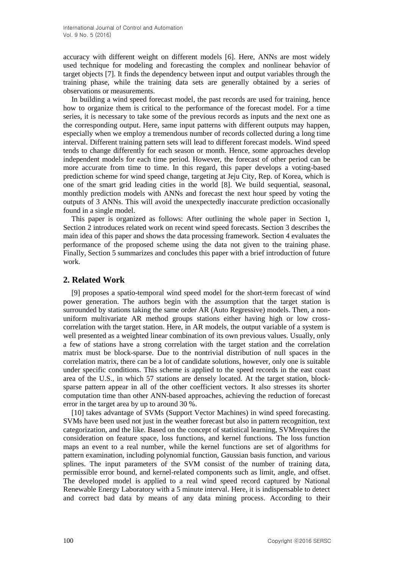accuracy with different weight on different models [6]. Here, ANNs are most widely used technique for modeling and forecasting the complex and nonlinear behavior of target objects [7]. It finds the dependency between input and output variables through the training phase, while the training data sets are generally obtained by a series of observations or measurements.

In building a wind speed forecast model, the past records are used for training, hence how to organize them is critical to the performance of the forecast model. For a time series, it is necessary to take some of the previous records as inputs and the next one as the corresponding output. Here, same input patterns with different outputs may happen, especially when we employ a tremendous number of records collected during a long time interval. Different training pattern sets will lead to different forecast models. Wind speed tends to change differently for each season or month. Hence, some approaches develop independent models for each time period. However, the forecast of other period can be more accurate from time to time. In this regard, this paper develops a voting-based prediction scheme for wind speed change, targeting at Jeju City, Rep. of Korea, which is one of the smart grid leading cities in the world [8]. We build sequential, seasonal, monthly prediction models with ANNs and forecast the next hour speed by voting the outputs of 3 ANNs. This will avoid the unexpectedly inaccurate prediction occasionally found in a single model.

This paper is organized as follows: After outlining the whole paper in Section 1, Section 2 introduces related work on recent wind speed forecasts. Section 3 describes the main idea of this paper and shows the data processing framework. Section 4 evaluates the performance of the proposed scheme using the data not given to the training phase. Finally, Section 5 summarizes and concludes this paper with a brief introduction of future work.

## **2. Related Work**

[9] proposes a spatio-temporal wind speed model for the short-term forecast of wind power generation. The authors begin with the assumption that the target station is surrounded by stations taking the same order AR (Auto Regressive) models. Then, a nonuniform multivariate AR method groups stations either having high or low crosscorrelation with the target station. Here, in AR models, the output variable of a system is well presented as a weighted linear combination of its own previous values. Usually, only a few of stations have a strong correlation with the target station and the correlation matrix must be block-sparse. Due to the nontrivial distribution of null spaces in the correlation matrix, there can be a lot of candidate solutions, however, only one is suitable under specific conditions. This scheme is applied to the speed records in the east coast area of the U.S., in which 57 stations are densely located. At the target station, blocksparse pattern appear in all of the other coefficient vectors. It also stresses its shorter computation time than other ANN-based approaches, achieving the reduction of forecast error in the target area by up to around 30 %.

[10] takes advantage of SVMs (Support Vector Machines) in wind speed forecasting. SVMs have been used not just in the weather forecast but also in pattern recognition, text categorization, and the like. Based on the concept of statistical learning, SVMrequires the consideration on feature space, loss functions, and kernel functions. The loss function maps an event to a real number, while the kernel functions are set of algorithms for pattern examination, including polynomial function, Gaussian basis function, and various splines. The input parameters of the SVM consist of the number of training data, permissible error bound, and kernel-related components such as limit, angle, and offset. The developed model is applied to a real wind speed record captured by National Renewable Energy Laboratory with a 5 minute interval. Here, it is indispensable to detect and correct bad data by means of any data mining process. According to their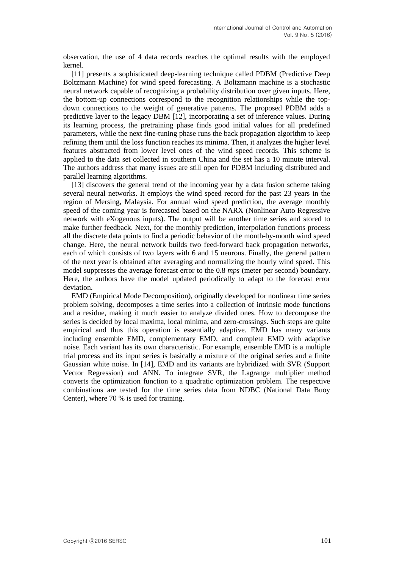observation, the use of 4 data records reaches the optimal results with the employed kernel.

[11] presents a sophisticated deep-learning technique called PDBM (Predictive Deep Boltzmann Machine) for wind speed forecasting. A Boltzmann machine is a stochastic neural network capable of recognizing a probability distribution over given inputs. Here, the bottom-up connections correspond to the recognition relationships while the topdown connections to the weight of generative patterns. The proposed PDBM adds a predictive layer to the legacy DBM [12], incorporating a set of inference values. During its learning process, the pretraining phase finds good initial values for all predefined parameters, while the next fine-tuning phase runs the back propagation algorithm to keep refining them until the loss function reaches its minima. Then, it analyzes the higher level features abstracted from lower level ones of the wind speed records. This scheme is applied to the data set collected in southern China and the set has a 10 minute interval. The authors address that many issues are still open for PDBM including distributed and parallel learning algorithms.

[13] discovers the general trend of the incoming year by a data fusion scheme taking several neural networks. It employs the wind speed record for the past 23 years in the region of Mersing, Malaysia. For annual wind speed prediction, the average monthly speed of the coming year is forecasted based on the NARX (Nonlinear Auto Regressive network with eXogenous inputs). The output will be another time series and stored to make further feedback. Next, for the monthly prediction, interpolation functions process all the discrete data points to find a periodic behavior of the month-by-month wind speed change. Here, the neural network builds two feed-forward back propagation networks, each of which consists of two layers with 6 and 15 neurons. Finally, the general pattern of the next year is obtained after averaging and normalizing the hourly wind speed. This model suppresses the average forecast error to the 0.8 *mps* (meter per second) boundary. Here, the authors have the model updated periodically to adapt to the forecast error deviation.

EMD (Empirical Mode Decomposition), originally developed for nonlinear time series problem solving, decomposes a time series into a collection of intrinsic mode functions and a residue, making it much easier to analyze divided ones. How to decompose the series is decided by local maxima, local minima, and zero-crossings. Such steps are quite empirical and thus this operation is essentially adaptive. EMD has many variants including ensemble EMD, complementary EMD, and complete EMD with adaptive noise. Each variant has its own characteristic. For example, ensemble EMD is a multiple trial process and its input series is basically a mixture of the original series and a finite Gaussian white noise. In [14], EMD and its variants are hybridized with SVR (Support Vector Regression) and ANN. To integrate SVR, the Lagrange multiplier method converts the optimization function to a quadratic optimization problem. The respective combinations are tested for the time series data from NDBC (National Data Buoy Center), where 70 % is used for training.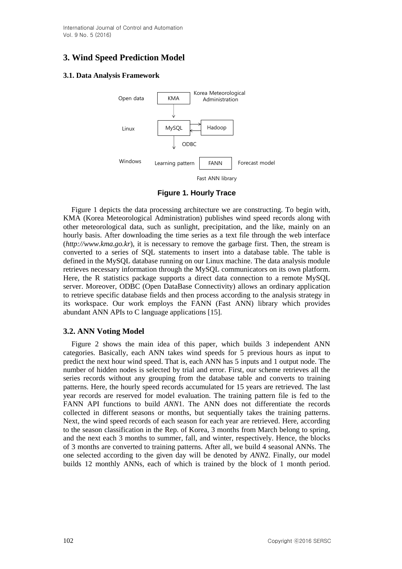International Journal of Control and Automation Vol. 9 No. 5 (2016)

# **3. Wind Speed Prediction Model**

#### **3.1. Data Analysis Framework**



**Figure 1. Hourly Trace**

Figure 1 depicts the data processing architecture we are constructing. To begin with, KMA (Korea Meteorological Administration) publishes wind speed records along with other meteorological data, such as sunlight, precipitation, and the like, mainly on an hourly basis. After downloading the time series as a text file through the web interface (*http://www.kma.go.kr*), it is necessary to remove the garbage first. Then, the stream is converted to a series of SQL statements to insert into a database table. The table is defined in the MySQL database running on our Linux machine. The data analysis module retrieves necessary information through the MySQL communicators on its own platform. Here, the R statistics package supports a direct data connection to a remote MySQL server. Moreover, ODBC (Open DataBase Connectivity) allows an ordinary application to retrieve specific database fields and then process according to the analysis strategy in its workspace. Our work employs the FANN (Fast ANN) library which provides abundant ANN APIs to C language applications [15].

### **3.2. ANN Voting Model**

Figure 2 shows the main idea of this paper, which builds 3 independent ANN categories. Basically, each ANN takes wind speeds for 5 previous hours as input to predict the next hour wind speed. That is, each ANN has 5 inputs and 1 output node. The number of hidden nodes is selected by trial and error. First, our scheme retrieves all the series records without any grouping from the database table and converts to training patterns. Here, the hourly speed records accumulated for 15 years are retrieved. The last year records are reserved for model evaluation. The training pattern file is fed to the FANN API functions to build *ANN*1. The ANN does not differentiate the records collected in different seasons or months, but sequentially takes the training patterns. Next, the wind speed records of each season for each year are retrieved. Here, according to the season classification in the Rep. of Korea, 3 months from March belong to spring, and the next each 3 months to summer, fall, and winter, respectively. Hence, the blocks of 3 months are converted to training patterns. After all, we build 4 seasonal ANNs. The one selected according to the given day will be denoted by *ANN*2. Finally, our model builds 12 monthly ANNs, each of which is trained by the block of 1 month period.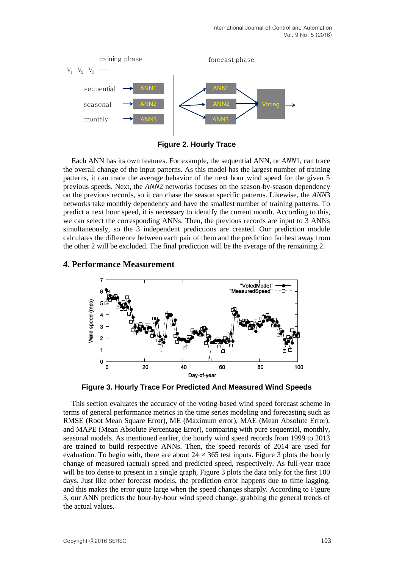

**Figure 2. Hourly Trace**

Each ANN has its own features. For example, the sequential ANN, or *ANN*1, can trace the overall change of the input patterns. As this model has the largest number of training patterns, it can trace the average behavior of the next hour wind speed for the given 5 previous speeds. Next, the *ANN*2 networks focuses on the season-by-season dependency on the previous records, so it can chase the season specific patterns. Likewise, the *ANN*3 networks take monthly dependency and have the smallest number of training patterns. To predict a next hour speed, it is necessary to identify the current month. According to this, we can select the corresponding ANNs. Then, the previous records are input to 3 ANNs simultaneously, so the 3 independent predictions are created. Our prediction module calculates the difference between each pair of them and the prediction farthest away from the other 2 will be excluded. The final prediction will be the average of the remaining 2.

## **4. Performance Measurement**



**Figure 3. Hourly Trace For Predicted And Measured Wind Speeds**

This section evaluates the accuracy of the voting-based wind speed forecast scheme in terms of general performance metrics in the time series modeling and forecasting such as RMSE (Root Mean Square Error), ME (Maximum error), MAE (Mean Absolute Error), and MAPE (Mean Absolute Percentage Error), comparing with pure sequential, monthly, seasonal models. As mentioned earlier, the hourly wind speed records from 1999 to 2013 are trained to build respective ANNs. Then, the speed records of 2014 are used for evaluation. To begin with, there are about  $24 \times 365$  test inputs. Figure 3 plots the hourly change of measured (actual) speed and predicted speed, respectively. As full-year trace will be too dense to present in a single graph, Figure 3 plots the data only for the first 100 days. Just like other forecast models, the prediction error happens due to time lagging, and this makes the error quite large when the speed changes sharply. According to Figure 3, our ANN predicts the hour-by-hour wind speed change, grabbing the general trends of the actual values.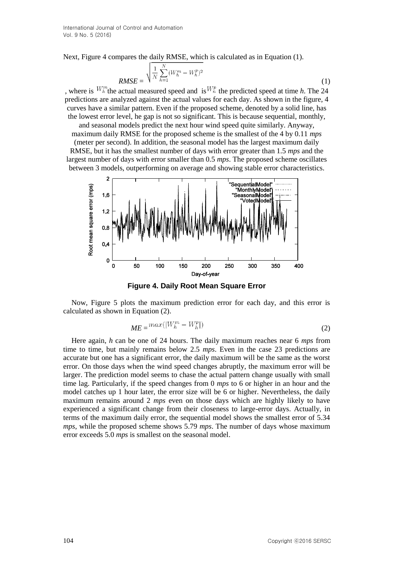Next, Figure 4 compares the daily RMSE, which is calculated as in Equation (1).

$$
RMSE = \sqrt{\frac{1}{N} \sum_{h=1}^{N} (W_h^m - W_h^p)^2}
$$
 (1)

, where is  $W_h^m$  the actual measured speed and is  $W_h^p$  the predicted speed at time *h*. The 24 predictions are analyzed against the actual values for each day. As shown in the figure, 4 curves have a similar pattern. Even if the proposed scheme, denoted by a solid line, has the lowest error level, he gap is not so significant. This is because sequential, monthly,

and seasonal models predict the next hour wind speed quite similarly. Anyway, maximum daily RMSE for the proposed scheme is the smallest of the 4 by 0.11 *mps*

(meter per second). In addition, the seasonal model has the largest maximum daily RMSE, but it has the smallest number of days with error greater than 1.5 *mps* and the largest number of days with error smaller than 0.5 *mps*. The proposed scheme oscillates between 3 models, outperforming on average and showing stable error characteristics.



**Figure 4. Daily Root Mean Square Error**

Now, Figure 5 plots the maximum prediction error for each day, and this error is calculated as shown in Equation (2).

$$
ME = \max(|W_h^m - W_h^p|) \tag{2}
$$

Here again, *h* can be one of 24 hours. The daily maximum reaches near 6 *mps* from time to time, but mainly remains below 2.5 *mps*. Even in the case 23 predictions are accurate but one has a significant error, the daily maximum will be the same as the worst error. On those days when the wind speed changes abruptly, the maximum error will be larger. The prediction model seems to chase the actual pattern change usually with small time lag. Particularly, if the speed changes from 0 *mps* to 6 or higher in an hour and the model catches up 1 hour later, the error size will be 6 or higher. Nevertheless, the daily maximum remains around 2 *mps* even on those days which are highly likely to have experienced a significant change from their closeness to large-error days. Actually, in terms of the maximum daily error, the sequential model shows the smallest error of 5.34 *mps*, while the proposed scheme shows 5.79 *mps*. The number of days whose maximum error exceeds 5.0 *mps* is smallest on the seasonal model.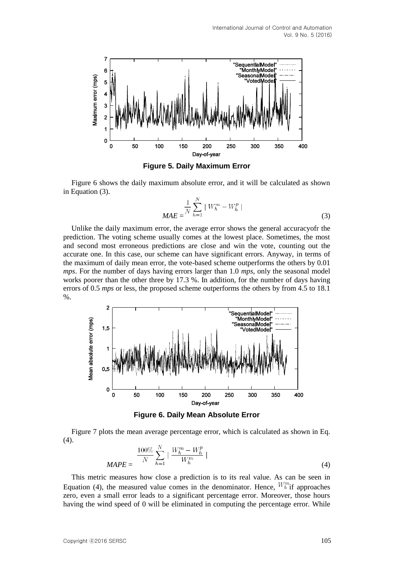

**Figure 5. Daily Maximum Error**

Figure 6 shows the daily maximum absolute error, and it will be calculated as shown in Equation (3).

$$
MAE = \frac{1}{N} \sum_{h=1}^{N} |W_h^m - W_h^p|
$$
\n(3)

Unlike the daily maximum error, the average error shows the general accuracyofr the prediction. The voting scheme usually comes at the lowest place. Sometimes, the most and second most erroneous predictions are close and win the vote, counting out the accurate one. In this case, our scheme can have significant errors. Anyway, in terms of the maximum of daily mean error, the vote-based scheme outperforms the others by 0.01 *mps*. For the number of days having errors larger than 1.0 *mps*, only the seasonal model works poorer than the other three by 17.3 %. In addition, for the number of days having errors of 0.5 *mps* or less, the proposed scheme outperforms the others by from 4.5 to 18.1 %.



**Figure 6. Daily Mean Absolute Error**

Figure 7 plots the mean average percentage error, which is calculated as shown in Eq. (4).

$$
MAPE = \frac{100\%}{N} \sum_{h=1}^{N} \left| \frac{W_h^m - W_h^p}{W_h^m} \right|
$$
\n(4)

This metric measures how close a prediction is to its real value. As can be seen in Equation (4), the measured value comes in the denominator. Hence,  $W_{h}^{m}$  if approaches zero, even a small error leads to a significant percentage error. Moreover, those hours having the wind speed of 0 will be eliminated in computing the percentage error. While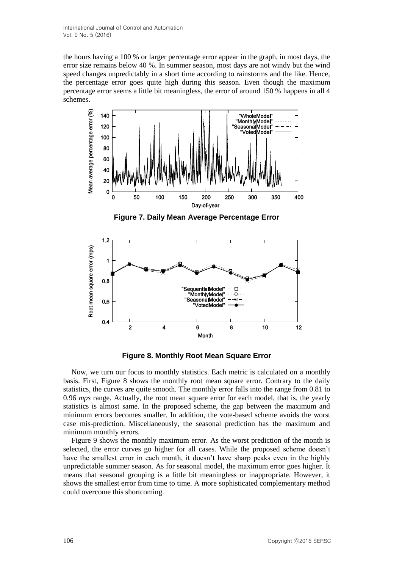the hours having a 100 % or larger percentage error appear in the graph, in most days, the error size remains below 40 %. In summer season, most days are not windy but the wind speed changes unpredictably in a short time according to rainstorms and the like. Hence, the percentage error goes quite high during this season. Even though the maximum percentage error seems a little bit meaningless, the error of around 150 % happens in all 4 schemes.



**Figure 7. Daily Mean Average Percentage Error**



**Figure 8. Monthly Root Mean Square Error**

Now, we turn our focus to monthly statistics. Each metric is calculated on a monthly basis. First, Figure 8 shows the monthly root mean square error. Contrary to the daily statistics, the curves are quite smooth. The monthly error falls into the range from 0.81 to 0.96 *mps* range. Actually, the root mean square error for each model, that is, the yearly statistics is almost same. In the proposed scheme, the gap between the maximum and minimum errors becomes smaller. In addition, the vote-based scheme avoids the worst case mis-prediction. Miscellaneously, the seasonal prediction has the maximum and minimum monthly errors.

Figure 9 shows the monthly maximum error. As the worst prediction of the month is selected, the error curves go higher for all cases. While the proposed scheme doesn't have the smallest error in each month, it doesn't have sharp peaks even in the highly unpredictable summer season. As for seasonal model, the maximum error goes higher. It means that seasonal grouping is a little bit meaningless or inappropriate. However, it shows the smallest error from time to time. A more sophisticated complementary method could overcome this shortcoming.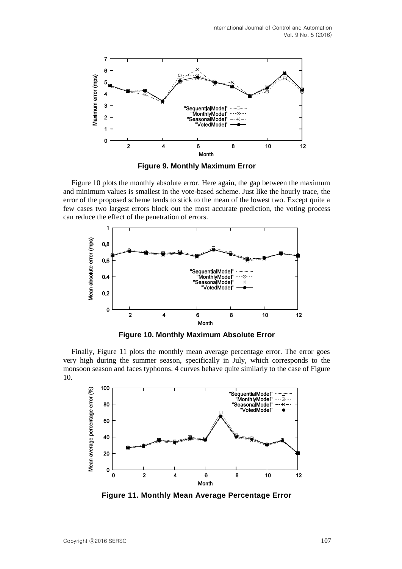

**Figure 9. Monthly Maximum Error**

Figure 10 plots the monthly absolute error. Here again, the gap between the maximum and minimum values is smallest in the vote-based scheme. Just like the hourly trace, the error of the proposed scheme tends to stick to the mean of the lowest two. Except quite a few cases two largest errors block out the most accurate prediction, the voting process can reduce the effect of the penetration of errors.



**Figure 10. Monthly Maximum Absolute Error**

Finally, Figure 11 plots the monthly mean average percentage error. The error goes very high during the summer season, specifically in July, which corresponds to the monsoon season and faces typhoons. 4 curves behave quite similarly to the case of Figure 10.



**Figure 11. Monthly Mean Average Percentage Error**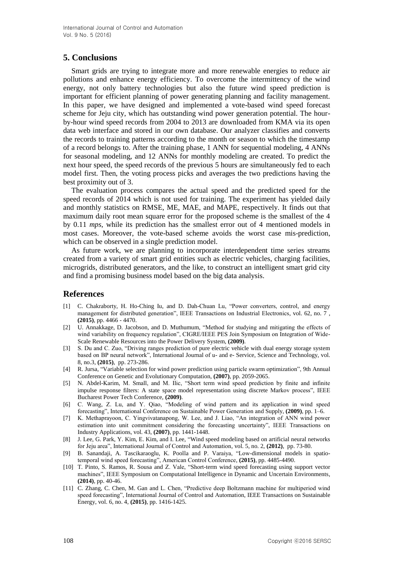## **5. Conclusions**

Smart grids are trying to integrate more and more renewable energies to reduce air pollutions and enhance energy efficiency. To overcome the intermittency of the wind energy, not only battery technologies but also the future wind speed prediction is important for efficient planning of power generating planning and facility management. In this paper, we have designed and implemented a vote-based wind speed forecast scheme for Jeju city, which has outstanding wind power generation potential. The hourby-hour wind speed records from 2004 to 2013 are downloaded from KMA via its open data web interface and stored in our own database. Our analyzer classifies and converts the records to training patterns according to the month or season to which the timestamp of a record belongs to. After the training phase, 1 ANN for sequential modeling, 4 ANNs for seasonal modeling, and 12 ANNs for monthly modeling are created. To predict the next hour speed, the speed records of the previous 5 hours are simultaneously fed to each model first. Then, the voting process picks and averages the two predictions having the best proximity out of 3.

The evaluation process compares the actual speed and the predicted speed for the speed records of 2014 which is not used for training. The experiment has yielded daily and monthly statistics on RMSE, ME, MAE, and MAPE, respectively. It finds out that maximum daily root mean square error for the proposed scheme is the smallest of the 4 by 0.11 *mps*, while its prediction has the smallest error out of 4 mentioned models in most cases. Moreover, the vote-based scheme avoids the worst case mis-prediction, which can be observed in a single prediction model.

As future work, we are planning to incorporate interdependent time series streams created from a variety of smart grid entities such as electric vehicles, charging facilities, microgrids, distributed generators, and the like, to construct an intelligent smart grid city and find a promising business model based on the big data analysis.

#### **References**

- [1] C. Chakraborty, H. Ho-Ching Iu, and D. Dah-Chuan Lu, "Power converters, control, and energy management for distributed generation", IEEE Transactions on Industrial Electronics, vol. 62, no. 7, **(2015)**, pp. 4466 - 4470.
- [2] U. Annakkage, D. Jacobson, and D. Muthumum, "Method for studying and mitigating the effects of wind variability on frequency regulation", CIGRE/IEEE PES Join Symposium on Integration of Wide-Scale Renewable Resources into the Power Delivery System, **(2009)**.
- [3] S. Du and C. Zuo, "Driving ranges prediction of pure electric vehicle with dual energy storage system based on BP neural network", International Journal of u- and e- Service, Science and Technology, vol. 8, no.3, **(2015)**, pp. 273-286.
- [4] R. Jursa, "Variable selection for wind power prediction using particle swarm optimization", 9th Annual Conference on Genetic and Evolutionary Computation, **(2007)**, pp. 2059-2065.
- [5] N. Abdel-Karim, M. Small, and M. Ilic, "Short term wind speed prediction by finite and infinite impulse response filters: A state space model representation using discrete Markov process", IEEE Bucharest Power Tech Conference, **(2009)**.
- [6] C. Wang, Z. Lu, and Y. Qiao, "Modeling of wind pattern and its application in wind speed forecasting", International Conference on Sustainable Power Generation and Supply, **(2009)**, pp. 1–6.
- [7] K. Methaprayoon, C. Yingvivatanapong, W. Lee, and J. Liao, "An integration of ANN wind power estimation into unit commitment considering the forecasting uncertainty", IEEE Transactions on Industry Applications, vol. 43, **(2007)**, pp. 1441-1448.
- [8] J. Lee, G. Park, Y. Kim, E. Kim, and I. Lee, "Wind speed modeling based on artificial neural networks for Jeju area", International Journal of Control and Automation, vol. 5, no. 2, **(2012)**, pp. 73-80.
- [9] B. Sanandaji, A. Tascikaraoglu, K. Poolla and P. Varaiya, "Low-dimensional models in spatiotemporal wind speed forecasting", American Control Conference, **(2015)**, pp. 4485-4490.
- [10] T. Pinto, S. Ramos, R. Sousa and Z. Vale, "Short-term wind speed forecasting using support vector machines", IEEE Symposium on Computational Intelligence in Dynamic and Uncertain Environments, **(2014)**, pp. 40-46.
- [11] C. Zhang, C. Chen, M. Gan and L. Chen, "Predictive deep Boltzmann machine for multiperiod wind speed forecasting", International Journal of Control and Automation, IEEE Transactions on Sustainable Energy, vol. 6, no. 4, **(2015)**, pp. 1416-1425.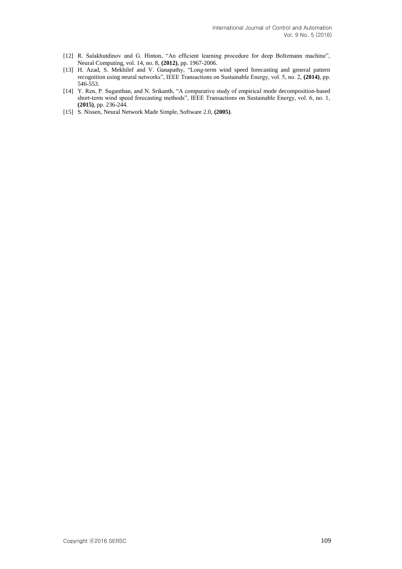- [12] R. Salakhutdinov and G. Hinton, "An efficient learning procedure for deep Boltzmann machine", Neural Computing, vol. 14, no. 8, **(2012)**, pp. 1967-2006.
- [13] H. Azad, S. Mekhilef and V. Ganapathy, "Long-term wind speed forecasting and general pattern recognition using neural networks", IEEE Transactions on Sustainable Energy, vol. 5, no. 2, **(2014)**, pp. 546-553.
- [14] Y. Ren, P. Suganthan, and N. Srikanth, "A comparative study of empirical mode decomposition-based short-term wind speed forecasting methods", IEEE Transactions on Sustainable Energy, vol. 6, no. 1, **(2015)**, pp. 236-244.
- [15] S. Nissen, Neural Network Made Simple, Software 2.0, **(2005)**.